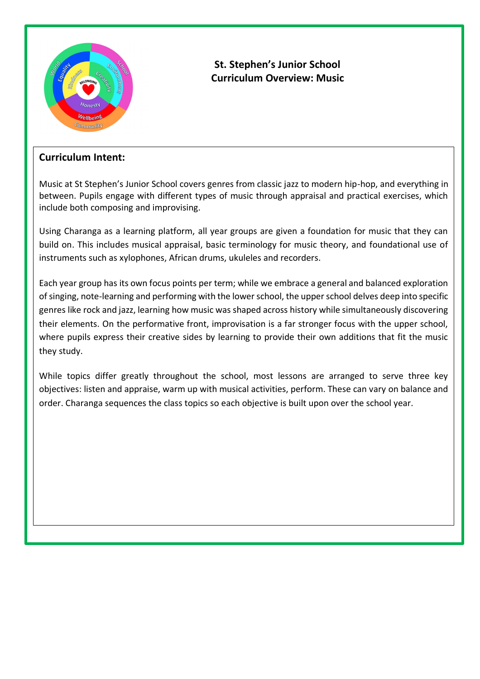

## **St. Stephen's Junior School Curriculum Overview: Music**

## **Curriculum Intent:**

Music at St Stephen's Junior School covers genres from classic jazz to modern hip-hop, and everything in between. Pupils engage with different types of music through appraisal and practical exercises, which include both composing and improvising.

Using Charanga as a learning platform, all year groups are given a foundation for music that they can build on. This includes musical appraisal, basic terminology for music theory, and foundational use of instruments such as xylophones, African drums, ukuleles and recorders.

Each year group has its own focus points per term; while we embrace a general and balanced exploration of singing, note-learning and performing with the lower school, the upper school delves deep into specific genres like rock and jazz, learning how music was shaped across history while simultaneously discovering their elements. On the performative front, improvisation is a far stronger focus with the upper school, where pupils express their creative sides by learning to provide their own additions that fit the music they study.

While topics differ greatly throughout the school, most lessons are arranged to serve three key objectives: listen and appraise, warm up with musical activities, perform. These can vary on balance and order. Charanga sequences the class topics so each objective is built upon over the school year.